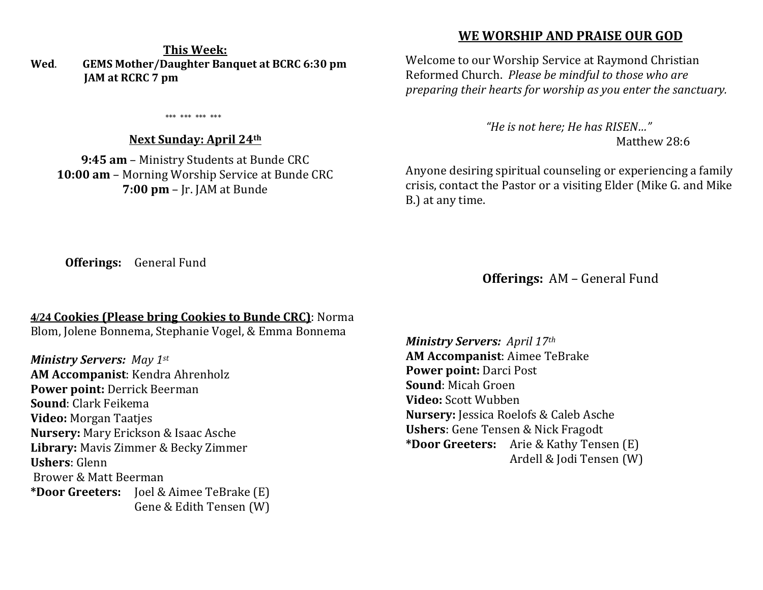## **This Week: Wed**. **GEMS Mother/Daughter Banquet at BCRC 6:30 pm JAM at RCRC 7 pm**

\*\*\* \*\*\* \*\*\* \*\*\*

## **Next Sunday: April 24th**

**9:45 am** – Ministry Students at Bunde CRC **10:00 am** – Morning Worship Service at Bunde CRC **7:00 pm** – Jr. JAM at Bunde

## **WE WORSHIP AND PRAISE OUR GOD**

Welcome to our Worship Service at Raymond Christian Reformed Church. *Please be mindful to those who are preparing their hearts for worship as you enter the sanctuary.*

> *"He is not here; He has RISEN…"*  Matthew 28:6

Anyone desiring spiritual counseling or experiencing a family crisis, contact the Pastor or a visiting Elder (Mike G. and Mike B.) at any time.

**Offerings:** General Fund

**Offerings:** AM – General Fund

## **4/24 Cookies (Please bring Cookies to Bunde CRC)**: Norma

Blom, Jolene Bonnema, Stephanie Vogel, & Emma Bonnema

*Ministry Servers: May 1st* **AM Accompanist**: Kendra Ahrenholz **Power point:** Derrick Beerman **Sound**: Clark Feikema **Video:** Morgan Taatjes **Nursery:** Mary Erickson & Isaac Asche **Library:** Mavis Zimmer & Becky Zimmer **Ushers**: Glenn Brower & Matt Beerman **\*Door Greeters:** Joel & Aimee TeBrake (E) Gene & Edith Tensen (W) *Ministry Servers: April 17th*  **AM Accompanist**: Aimee TeBrake **Power point:** Darci Post **Sound**: Micah Groen **Video:** Scott Wubben **Nursery:** Jessica Roelofs & Caleb Asche **Ushers**: Gene Tensen & Nick Fragodt **\*Door Greeters:** Arie & Kathy Tensen (E) Ardell & Jodi Tensen (W)